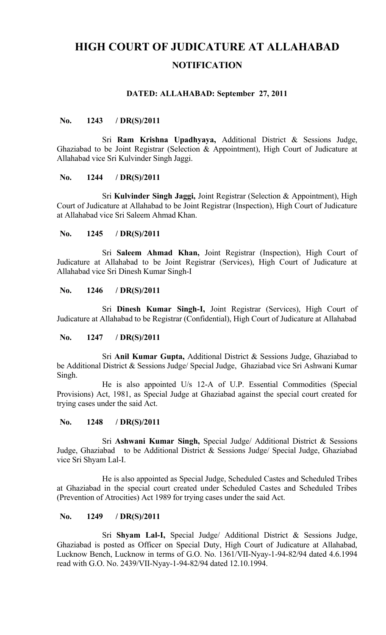# **HIGH COURT OF JUDICATURE AT ALLAHABAD NOTIFICATION**

## **DATED: ALLAHABAD: September 27, 2011**

## **No. 1243 / DR(S)/2011**

Sri **Ram Krishna Upadhyaya,** Additional District & Sessions Judge, Ghaziabad to be Joint Registrar (Selection & Appointment), High Court of Judicature at Allahabad vice Sri Kulvinder Singh Jaggi.

#### **No. 1244 / DR(S)/2011**

Sri **Kulvinder Singh Jaggi,** Joint Registrar (Selection & Appointment), High Court of Judicature at Allahabad to be Joint Registrar (Inspection), High Court of Judicature at Allahabad vice Sri Saleem Ahmad Khan.

### **No. 1245 / DR(S)/2011**

Sri **Saleem Ahmad Khan,** Joint Registrar (Inspection), High Court of Judicature at Allahabad to be Joint Registrar (Services), High Court of Judicature at Allahabad vice Sri Dinesh Kumar Singh-I

### **No. 1246 / DR(S)/2011**

Sri **Dinesh Kumar Singh-I,** Joint Registrar (Services), High Court of Judicature at Allahabad to be Registrar (Confidential), High Court of Judicature at Allahabad

## **No. 1247 / DR(S)/2011**

Sri **Anil Kumar Gupta,** Additional District & Sessions Judge, Ghaziabad to be Additional District & Sessions Judge/ Special Judge, Ghaziabad vice Sri Ashwani Kumar Singh.

He is also appointed U/s 12-A of U.P. Essential Commodities (Special Provisions) Act, 1981, as Special Judge at Ghaziabad against the special court created for trying cases under the said Act.

# **No. 1248 / DR(S)/2011**

Sri **Ashwani Kumar Singh,** Special Judge/ Additional District & Sessions Judge, Ghaziabad to be Additional District & Sessions Judge/ Special Judge, Ghaziabad vice Sri Shyam Lal-I.

He is also appointed as Special Judge, Scheduled Castes and Scheduled Tribes at Ghaziabad in the special court created under Scheduled Castes and Scheduled Tribes (Prevention of Atrocities) Act 1989 for trying cases under the said Act.

## **No. 1249 / DR(S)/2011**

Sri **Shyam Lal-I,** Special Judge/ Additional District & Sessions Judge, Ghaziabad is posted as Officer on Special Duty, High Court of Judicature at Allahabad, Lucknow Bench, Lucknow in terms of G.O. No. 1361/VII-Nyay-1-94-82/94 dated 4.6.1994 read with G.O. No. 2439/VII-Nyay-1-94-82/94 dated 12.10.1994.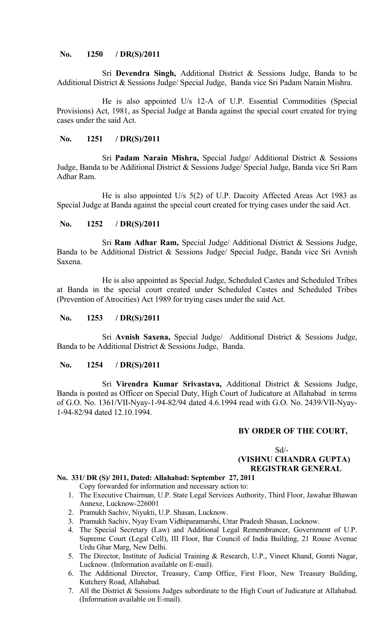# **No. 1250 / DR(S)/2011**

Sri **Devendra Singh,** Additional District & Sessions Judge, Banda to be Additional District & Sessions Judge/ Special Judge, Banda vice Sri Padam Narain Mishra.

He is also appointed U/s 12-A of U.P. Essential Commodities (Special Provisions) Act, 1981, as Special Judge at Banda against the special court created for trying cases under the said Act.

# **No. 1251 / DR(S)/2011**

Sri **Padam Narain Mishra,** Special Judge/ Additional District & Sessions Judge, Banda to be Additional District & Sessions Judge/ Special Judge, Banda vice Sri Ram Adhar Ram.

He is also appointed U/s 5(2) of U.P. Dacoity Affected Areas Act 1983 as Special Judge at Banda against the special court created for trying cases under the said Act.

# **No. 1252 / DR(S)/2011**

Sri **Ram Adhar Ram,** Special Judge/ Additional District & Sessions Judge, Banda to be Additional District & Sessions Judge/ Special Judge, Banda vice Sri Avnish Saxena.

He is also appointed as Special Judge, Scheduled Castes and Scheduled Tribes at Banda in the special court created under Scheduled Castes and Scheduled Tribes (Prevention of Atrocities) Act 1989 for trying cases under the said Act.

# **No. 1253 / DR(S)/2011**

Sri **Avnish Saxena,** Special Judge/ Additional District & Sessions Judge, Banda to be Additional District & Sessions Judge, Banda.

## **No. 1254 / DR(S)/2011**

Sri **Virendra Kumar Srivastava,** Additional District & Sessions Judge, Banda is posted as Officer on Special Duty, High Court of Judicature at Allahabad in terms of G.O. No. 1361/VII-Nyay-1-94-82/94 dated 4.6.1994 read with G.O. No. 2439/VII-Nyay-1-94-82/94 dated 12.10.1994.

## **BY ORDER OF THE COURT,**

## $Sd$ <sup>-</sup>  **(VISHNU CHANDRA GUPTA) REGISTRAR GENERAL**

# **No. 331/ DR (S)/ 2011, Dated: Allahabad: September 27, 2011**

- Copy forwarded for information and necessary action to: 1. The Executive Chairman, U.P. State Legal Services Authority, Third Floor, Jawahar Bhawan Annexe, Lucknow-226001
- 2. Pramukh Sachiv, Niyukti, U.P. Shasan, Lucknow.
- 3. Pramukh Sachiv, Nyay Evam Vidhiparamarshi, Uttar Pradesh Shasan, Lucknow.
- 4. The Special Secretary (Law) and Additional Legal Remembrancer, Government of U.P. Supreme Court (Legal Cell), III Floor, Bar Council of India Building, 21 Rouse Avenue Urdu Ghar Marg, New Delhi.
- 5. The Director, Institute of Judicial Training & Research, U.P., Vineet Khand, Gomti Nagar, Lucknow. (Information available on E-mail).
- 6. The Additional Director, Treasury, Camp Office, First Floor, New Treasury Building, Kutchery Road, Allahabad.
- 7. All the District & Sessions Judges subordinate to the High Court of Judicature at Allahabad. (Information available on E-mail).